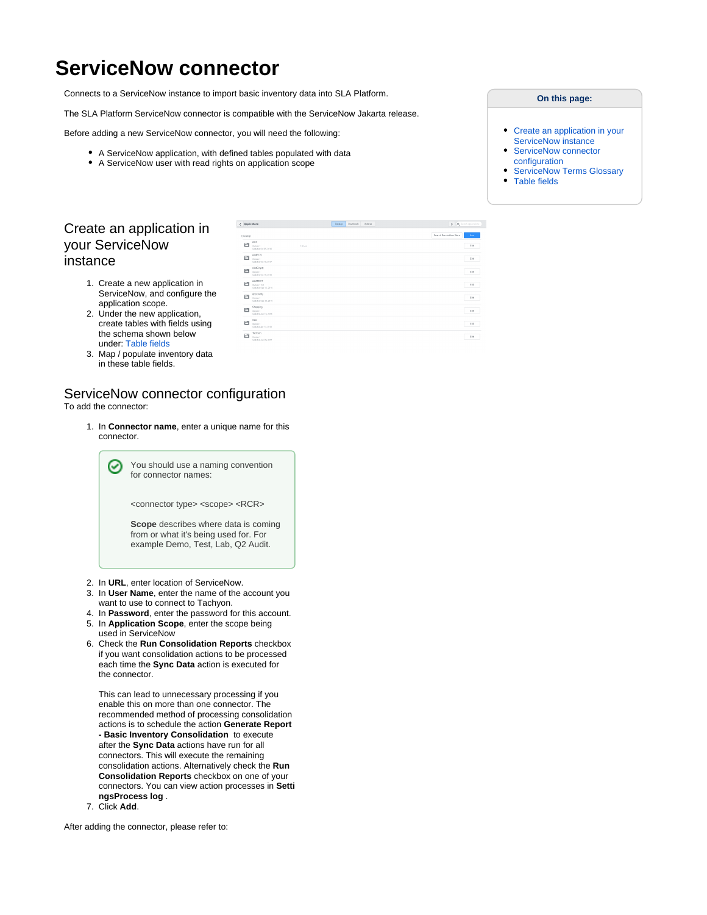# **ServiceNow connector**

Connects to a ServiceNow instance to import basic inventory data into SLA Platform.

The SLA Platform ServiceNow connector is compatible with the ServiceNow Jakarta release.

 $\sqrt{h}$ 

Before adding a new ServiceNow connector, you will need the following:

- A ServiceNow application, with defined tables populated with data
- A ServiceNow user with read rights on application scope

#### **On this page:**

- $\bullet$ [Create an application in your](https://help.1e.com/display/TCN50/ServiceNow+connector#ServiceNowconnector-CreateanapplicationinyourServiceNowinstance)  [ServiceNow instance](https://help.1e.com/display/TCN50/ServiceNow+connector#ServiceNowconnector-CreateanapplicationinyourServiceNowinstance) [ServiceNow connector](https://help.1e.com/display/TCN50/ServiceNow+connector#ServiceNowconnector-ServiceNowconnectorconfiguration)
- [configuration](https://help.1e.com/display/TCN50/ServiceNow+connector#ServiceNowconnector-ServiceNowconnectorconfiguration)
- [ServiceNow Terms Glossary](https://help.1e.com/display/TCN50/ServiceNow+connector#ServiceNowconnector-ServiceNowTermsGlossary)
- [Table fields](https://help.1e.com/display/TCN50/ServiceNow+connector#ServiceNowconnector-Tablefields)

 $600$ 

## Create an application in your ServiceNow instance

- 1. Create a new application in ServiceNow, and configure the application scope.
- 2. Under the new application, create tables with fields using the schema shown below under: [Table fields](#page-2-0)
- 3. Map / populate inventory data in these table fields.

## ServiceNow connector configuration

To add the connector:

1. In **Connector name**, enter a unique name for this connector.

> You should use a naming convention for connector names:

<connector type> <scope> <RCR>

**Scope** describes where data is coming from or what it's being used for. For example Demo, Test, Lab, Q2 Audit.

- 2. In **URL**, enter location of ServiceNow.
- 3. In **User Name**, enter the name of the account you want to use to connect to Tachyon.
- 4. In **Password**, enter the password for this account.
- 5. In **Application Scope**, enter the scope being
- 6. Check the **Run Consolidation Reports** checkbox used in ServiceNow if you want consolidation actions to be processed each time the **Sync Data** action is executed for the connector.

This can lead to unnecessary processing if you enable this on more than one connector. The recommended method of processing consolidation actions is to schedule the action **Generate Report - Basic Inventory Consolidation** to execute after the **Sync Data** actions have run for all connectors. This will execute the remaining consolidation actions. Alternatively check the **Run Consolidation Reports** checkbox on one of your connectors. You can view action processes in **Setti ngsProcess log** .

7. Click **Add**.

After adding the connector, please refer to:

| The Contract of |                                                         | _____ | and the state of the state       |
|-----------------|---------------------------------------------------------|-------|----------------------------------|
| Develop         |                                                         |       | Search ServiceNow Store<br>New 1 |
| 画               | ACS.<br>16 Act.<br>Version 1<br>Updated Oct 05, 2016    |       | Est                              |
| 画               | <b>ANECS</b><br>Version 1<br>Undebtd Oct 19, 2017       |       | Est                              |
| 画               | AWEmpy<br>Version 1<br>Updated Oct 19, 2016             |       | Est                              |
| 曰               | <b>AIMTEST</b><br>Version 1.0.2<br>Undebtd Sep 12, 2015 |       | Est                              |
| 曰               | AppElarity<br>Version 1<br>Undebtd Sep 30, 2015         |       | 648                              |
| 画               | Shopping<br>Version 1<br>Updated Jan 15, 2015           |       | 648                              |
| 曰               | 3.8<br>Version 1<br>Updated Apr 13, 2010                |       | 648                              |
| 画               | Tachyon<br>Version 1<br>Updated Jun 08, 2017            |       | 648                              |

Dowing Davisads Updates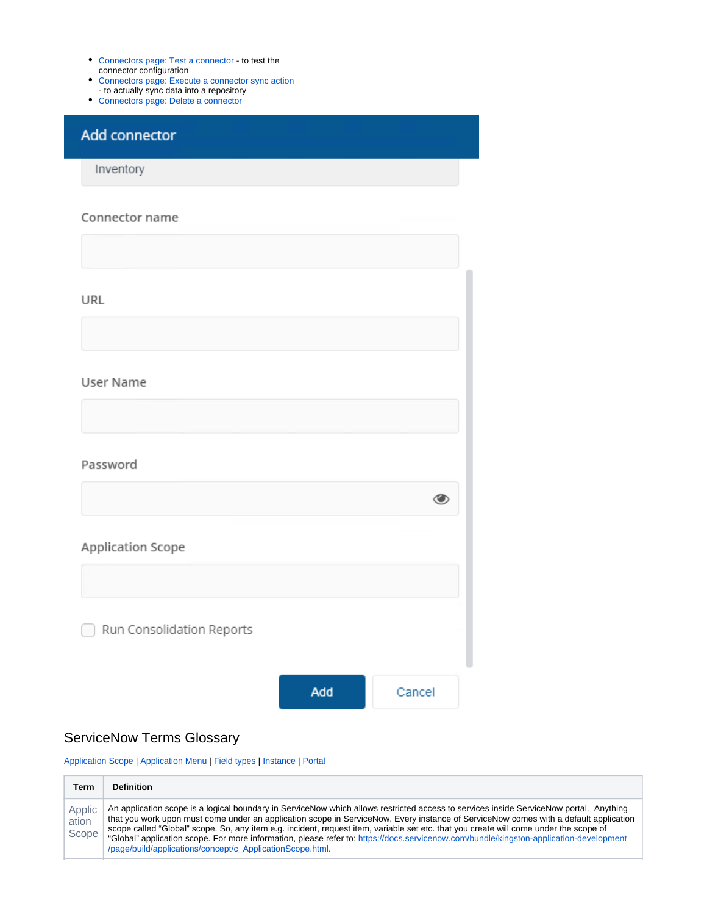- [Connectors page: Test a connector](https://help.1e.com/display/TCN50/Connectors+page#Connectorspage-Testaconnector)  to test the connector configuration
- [Connectors page: Execute a connector sync action](https://help.1e.com/display/TCN50/Connectors+page#Connectorspage-Executeaconnectorsyncaction)
- to actually sync data into a repository
- [Connectors page: Delete a connector](https://help.1e.com/display/TCN50/Connectors+page#Connectorspage-Deleteaconnector)

## Add connector

Inventory

#### Connector name

| URL                       |     |        |
|---------------------------|-----|--------|
|                           |     |        |
| User Name                 |     |        |
|                           |     |        |
| Password                  |     |        |
|                           |     | ◑      |
| Application Scope         |     |        |
|                           |     |        |
| Run Consolidation Reports |     |        |
|                           |     |        |
|                           | Add | Cancel |

## ServiceNow Terms Glossary

[Application Scope](#page-1-0) | [Application Menu](#page-2-1) | [Field types](#page-2-2) | [Instance](#page-2-3) | [Portal](#page-2-4)

<span id="page-1-0"></span>

| Term                     | Definition                                                                                                                                                                                                                                                                                                                                                                                                                                                                                                                                                                                                                    |
|--------------------------|-------------------------------------------------------------------------------------------------------------------------------------------------------------------------------------------------------------------------------------------------------------------------------------------------------------------------------------------------------------------------------------------------------------------------------------------------------------------------------------------------------------------------------------------------------------------------------------------------------------------------------|
| Applic<br>ation<br>Scope | An application scope is a logical boundary in ServiceNow which allows restricted access to services inside ServiceNow portal. Anything<br>that you work upon must come under an application scope in ServiceNow. Every instance of ServiceNow comes with a default application<br>scope called "Global" scope. So, any item e.g. incident, request item, variable set etc. that you create will come under the scope of<br>"Global" application scope. For more information, please refer to: https://docs.servicenow.com/bundle/kingston-application-development<br>/page/build/applications/concept/c ApplicationScope.html |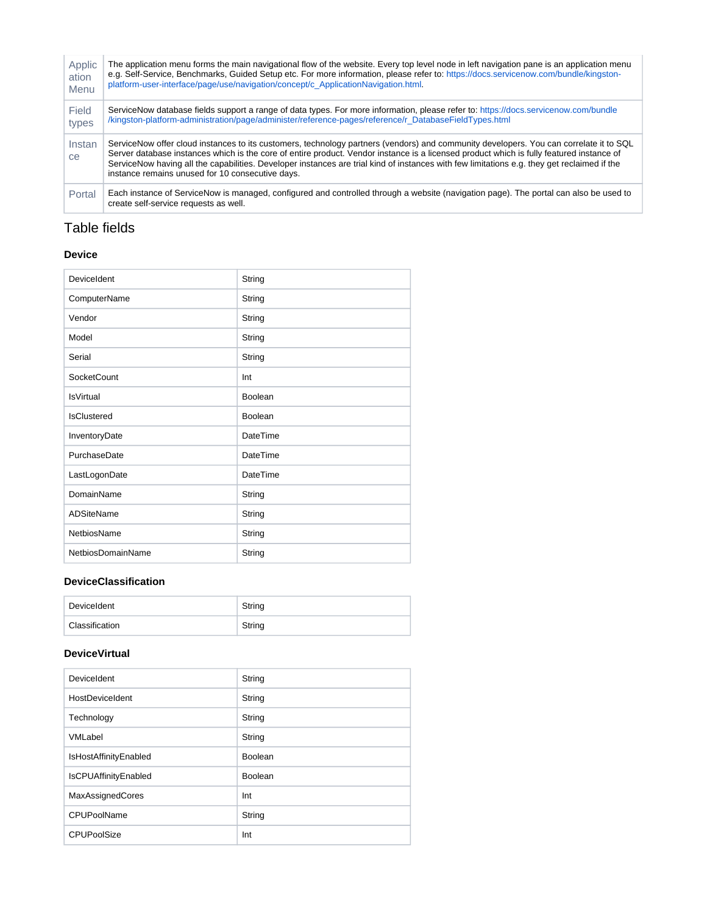<span id="page-2-2"></span><span id="page-2-1"></span>

| Applic              | The application menu forms the main navigational flow of the website. Every top level node in left navigation pane is an application menu                                                                                                                                                                                                                                                                                                                                             |
|---------------------|---------------------------------------------------------------------------------------------------------------------------------------------------------------------------------------------------------------------------------------------------------------------------------------------------------------------------------------------------------------------------------------------------------------------------------------------------------------------------------------|
| ation               | e.g. Self-Service, Benchmarks, Guided Setup etc. For more information, please refer to: https://docs.servicenow.com/bundle/kingston-                                                                                                                                                                                                                                                                                                                                                  |
| Menu                | platform-user-interface/page/use/navigation/concept/c ApplicationNavigation.html.                                                                                                                                                                                                                                                                                                                                                                                                     |
| Field               | ServiceNow database fields support a range of data types. For more information, please refer to: https://docs.servicenow.com/bundle                                                                                                                                                                                                                                                                                                                                                   |
| types               | /kingston-platform-administration/page/administer/reference-pages/reference/r_DatabaseFieldTypes.html                                                                                                                                                                                                                                                                                                                                                                                 |
| Instan<br><b>ce</b> | ServiceNow offer cloud instances to its customers, technology partners (vendors) and community developers. You can correlate it to SQL<br>Server database instances which is the core of entire product. Vendor instance is a licensed product which is fully featured instance of<br>ServiceNow having all the capabilities. Developer instances are trial kind of instances with few limitations e.g. they get reclaimed if the<br>instance remains unused for 10 consecutive days. |
| Portal              | Each instance of ServiceNow is managed, configured and controlled through a website (navigation page). The portal can also be used to<br>create self-service requests as well.                                                                                                                                                                                                                                                                                                        |

## <span id="page-2-4"></span><span id="page-2-3"></span><span id="page-2-0"></span>Table fields

#### **Device**

| DeviceIdent        | String          |
|--------------------|-----------------|
| ComputerName       | String          |
| Vendor             | String          |
| Model              | String          |
| Serial             | String          |
| <b>SocketCount</b> | Int             |
| <b>IsVirtual</b>   | Boolean         |
| <b>IsClustered</b> | Boolean         |
| InventoryDate      | DateTime        |
| PurchaseDate       | <b>DateTime</b> |
| LastLogonDate      | <b>DateTime</b> |
| <b>DomainName</b>  | String          |
| <b>ADSiteName</b>  | String          |
| NetbiosName        | String          |
| NetbiosDomainName  | String          |

#### **DeviceClassification**

| DeviceIdent    | String |
|----------------|--------|
| Classification | String |

#### **DeviceVirtual**

| DeviceIdent                 | String  |
|-----------------------------|---------|
| HostDeviceIdent             | String  |
| Technology                  | String  |
| VMLabel                     | String  |
| IsHostAffinityEnabled       | Boolean |
| <b>IsCPUAffinityEnabled</b> | Boolean |
| MaxAssignedCores            | Int     |
| CPUPoolName                 | String  |
| <b>CPUPoolSize</b>          | Int     |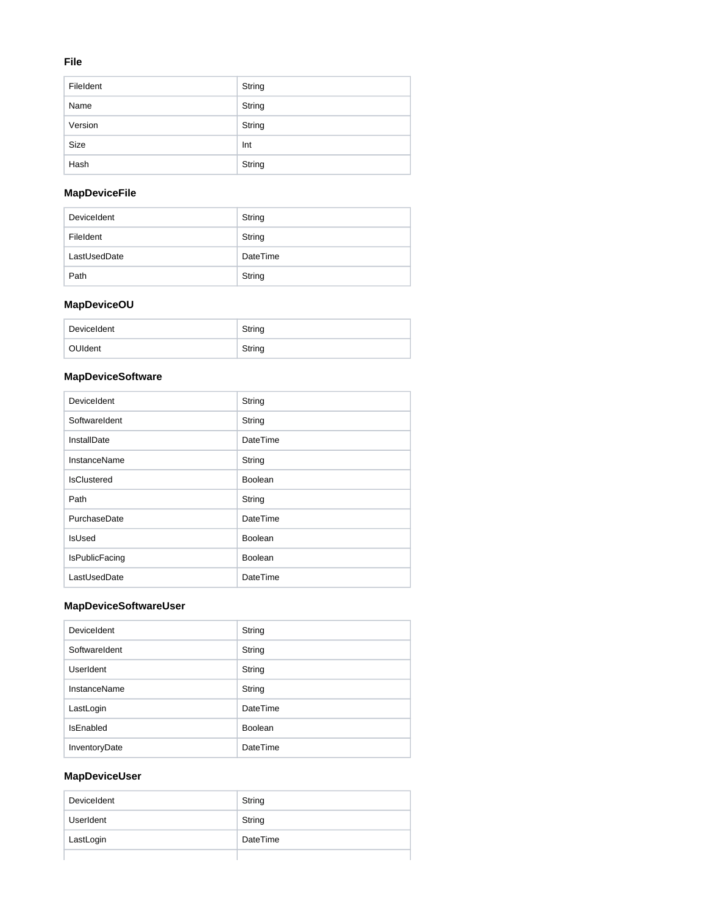#### **File**

| FileIdent | String |
|-----------|--------|
| Name      | String |
| Version   | String |
| Size      | Int    |
| Hash      | String |

## **MapDeviceFile**

| DeviceIdent  | String   |
|--------------|----------|
| Fileldent    | String   |
| LastUsedDate | DateTime |
| Path         | String   |

## **MapDeviceOU**

| DeviceIdent | String |
|-------------|--------|
| OUIdent     | String |

## **MapDeviceSoftware**

| DeviceIdent           | String          |
|-----------------------|-----------------|
| SoftwareIdent         | String          |
| InstallDate           | DateTime        |
| <b>InstanceName</b>   | String          |
| <b>IsClustered</b>    | <b>Boolean</b>  |
| Path                  | String          |
| PurchaseDate          | <b>DateTime</b> |
| <b>IsUsed</b>         | <b>Boolean</b>  |
| <b>IsPublicFacing</b> | <b>Boolean</b>  |
| LastUsedDate          | DateTime        |

## **MapDeviceSoftwareUser**

| DeviceIdent   | String   |
|---------------|----------|
| SoftwareIdent | String   |
| UserIdent     | String   |
| InstanceName  | String   |
| LastLogin     | DateTime |
| IsEnabled     | Boolean  |
| InventoryDate | DateTime |

#### **MapDeviceUser**

| DeviceIdent | String   |
|-------------|----------|
| UserIdent   | String   |
| LastLogin   | DateTime |
|             |          |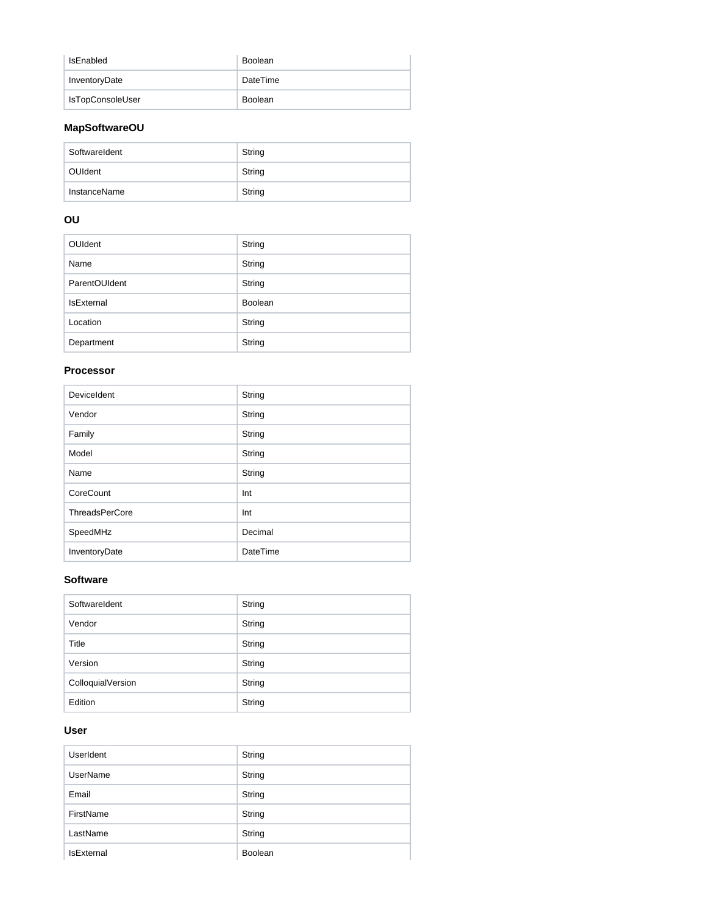| IsEnabled               | Boolean  |
|-------------------------|----------|
| InventoryDate           | DateTime |
| <b>IsTopConsoleUser</b> | Boolean  |

#### **MapSoftwareOU**

| SoftwareIdent | String |
|---------------|--------|
| OUIdent       | String |
| InstanceName  | String |

## **OU**

| <b>OUIdent</b>    | String         |
|-------------------|----------------|
| Name              | String         |
| ParentOUIdent     | String         |
| <b>IsExternal</b> | <b>Boolean</b> |
| Location          | String         |
| Department        | String         |

#### **Processor**

| DeviceIdent           | String          |
|-----------------------|-----------------|
| Vendor                | String          |
| Family                | String          |
| Model                 | String          |
| Name                  | String          |
| CoreCount             | Int             |
| <b>ThreadsPerCore</b> | Int             |
| SpeedMHz              | Decimal         |
| InventoryDate         | <b>DateTime</b> |

#### **Software**

| SoftwareIdent     | String |
|-------------------|--------|
| Vendor            | String |
| Title             | String |
| Version           | String |
| ColloquialVersion | String |
| Edition           | String |

#### **User**

| UserIdent         | String  |
|-------------------|---------|
| <b>UserName</b>   | String  |
| Email             | String  |
| FirstName         | String  |
| LastName          | String  |
| <b>IsExternal</b> | Boolean |